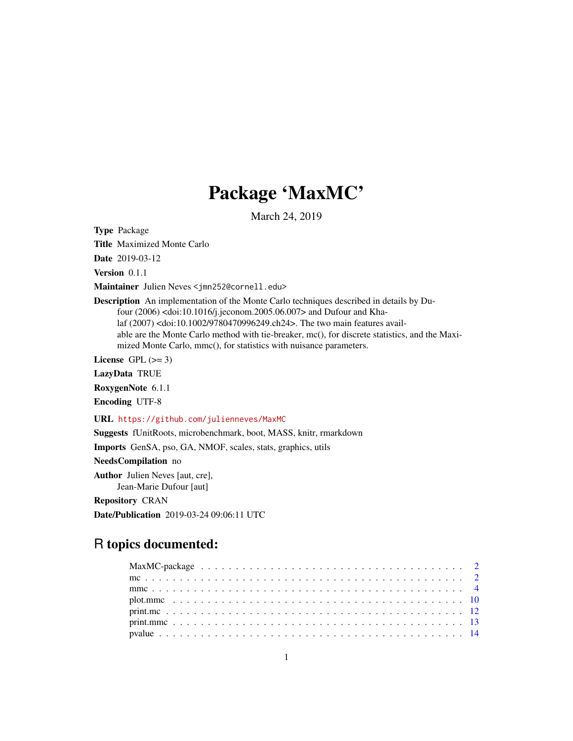## Package 'MaxMC'

March 24, 2019

<span id="page-0-0"></span>Type Package

Title Maximized Monte Carlo

Date 2019-03-12

Version 0.1.1

Maintainer Julien Neves <jmn252@cornell.edu>

Description An implementation of the Monte Carlo techniques described in details by Dufour (2006) <doi:10.1016/j.jeconom.2005.06.007> and Dufour and Khalaf (2007) <doi:10.1002/9780470996249.ch24>. The two main features available are the Monte Carlo method with tie-breaker, mc(), for discrete statistics, and the Maximized Monte Carlo, mmc(), for statistics with nuisance parameters.

License GPL  $(>= 3)$ 

LazyData TRUE

RoxygenNote 6.1.1

Encoding UTF-8

URL <https://github.com/julienneves/MaxMC>

Suggests fUnitRoots, microbenchmark, boot, MASS, knitr, rmarkdown

Imports GenSA, pso, GA, NMOF, scales, stats, graphics, utils

NeedsCompilation no

Author Julien Neves [aut, cre], Jean-Marie Dufour [aut]

Repository CRAN

Date/Publication 2019-03-24 09:06:11 UTC

## R topics documented:

| $print.mc 12$ |
|---------------|
|               |
|               |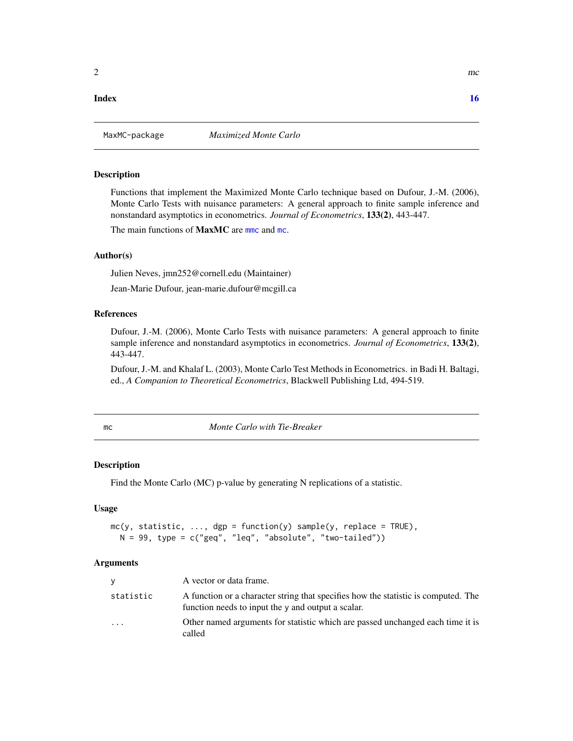#### <span id="page-1-0"></span>**Index** the contract of the contract of the contract of the contract of the contract of the contract of the contract of the contract of the contract of the contract of the contract of the contract of the contract of the co

## **Description**

Functions that implement the Maximized Monte Carlo technique based on Dufour, J.-M. (2006), Monte Carlo Tests with nuisance parameters: A general approach to finite sample inference and nonstandard asymptotics in econometrics. *Journal of Econometrics*, 133(2), 443-447.

The main functions of **MaxMC** are more and [mc](#page-1-1).

#### Author(s)

Julien Neves, jmn252@cornell.edu (Maintainer)

Jean-Marie Dufour, jean-marie.dufour@mcgill.ca

## References

Dufour, J.-M. (2006), Monte Carlo Tests with nuisance parameters: A general approach to finite sample inference and nonstandard asymptotics in econometrics. *Journal of Econometrics*, 133(2), 443-447.

Dufour, J.-M. and Khalaf L. (2003), Monte Carlo Test Methods in Econometrics. in Badi H. Baltagi, ed., *A Companion to Theoretical Econometrics*, Blackwell Publishing Ltd, 494-519.

<span id="page-1-1"></span>mc *Monte Carlo with Tie-Breaker*

#### Description

Find the Monte Carlo (MC) p-value by generating N replications of a statistic.

#### Usage

```
mc(y, statistic, ..., dep = function(y) sample(y, replace = TRUE),N = 99, type = c("geq", "leq", "absolute", "two-tailed"))
```
#### Arguments

| V         | A vector or data frame.                                                                                                                  |
|-----------|------------------------------------------------------------------------------------------------------------------------------------------|
| statistic | A function or a character string that specifies how the statistic is computed. The<br>function needs to input the y and output a scalar. |
| $\cdot$   | Other named arguments for statistic which are passed unchanged each time it is<br>called                                                 |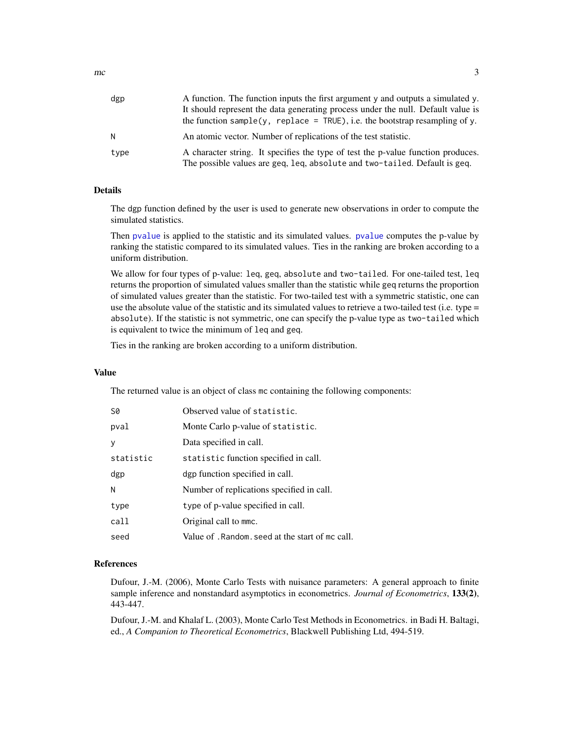<span id="page-2-0"></span>

| dgp  | A function. The function inputs the first argument y and outputs a simulated y.<br>It should represent the data generating process under the null. Default value is<br>the function sample(y, replace = $TRUE$ ), i.e. the bootstrap resampling of y. |
|------|-------------------------------------------------------------------------------------------------------------------------------------------------------------------------------------------------------------------------------------------------------|
|      | An atomic vector. Number of replications of the test statistic.                                                                                                                                                                                       |
| type | A character string. It specifies the type of test the p-value function produces.<br>The possible values are geq, leq, absolute and two-tailed. Default is geq.                                                                                        |

#### Details

The dgp function defined by the user is used to generate new observations in order to compute the simulated statistics.

Then [pvalue](#page-13-1) is applied to the statistic and its simulated values. [pvalue](#page-13-1) computes the p-value by ranking the statistic compared to its simulated values. Ties in the ranking are broken according to a uniform distribution.

We allow for four types of p-value: leq, geq, absolute and two-tailed. For one-tailed test, leq returns the proportion of simulated values smaller than the statistic while geq returns the proportion of simulated values greater than the statistic. For two-tailed test with a symmetric statistic, one can use the absolute value of the statistic and its simulated values to retrieve a two-tailed test (i.e. type = absolute). If the statistic is not symmetric, one can specify the p-value type as two-tailed which is equivalent to twice the minimum of leq and geq.

Ties in the ranking are broken according to a uniform distribution.

#### Value

The returned value is an object of class mc containing the following components:

| S0        | Observed value of statistic.                     |
|-----------|--------------------------------------------------|
| pval      | Monte Carlo p-value of statistic.                |
| y         | Data specified in call.                          |
| statistic | statistic function specified in call.            |
| dgp       | dgp function specified in call.                  |
| N         | Number of replications specified in call.        |
| type      | type of p-value specified in call.               |
| call      | Original call to mmc.                            |
| seed      | Value of . Random. seed at the start of mc call. |

#### References

Dufour, J.-M. (2006), Monte Carlo Tests with nuisance parameters: A general approach to finite sample inference and nonstandard asymptotics in econometrics. *Journal of Econometrics*, 133(2), 443-447.

Dufour, J.-M. and Khalaf L. (2003), Monte Carlo Test Methods in Econometrics. in Badi H. Baltagi, ed., *A Companion to Theoretical Econometrics*, Blackwell Publishing Ltd, 494-519.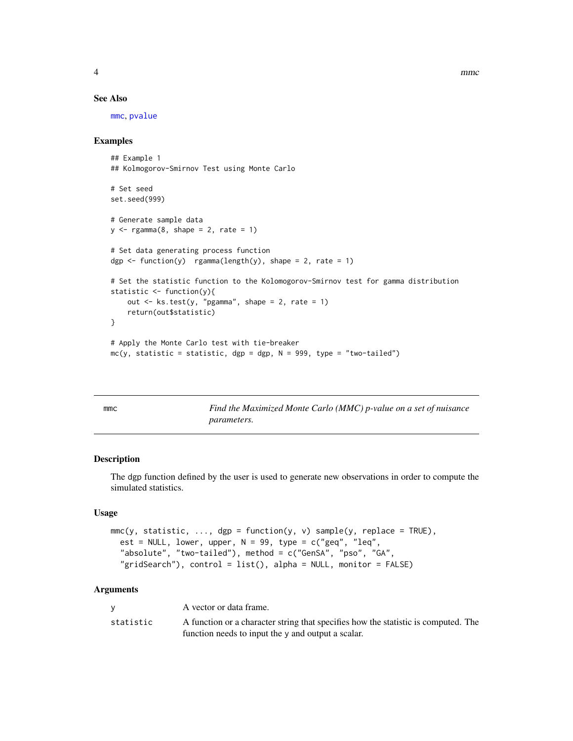<span id="page-3-0"></span>

#### See Also

[mmc](#page-3-1), [pvalue](#page-13-1)

## Examples

```
## Example 1
## Kolmogorov-Smirnov Test using Monte Carlo
# Set seed
set.seed(999)
# Generate sample data
y \leq - \text{rgamma}(8, \text{ shape} = 2, \text{ rate} = 1)# Set data generating process function
dgp \le function(y) rgamma(length(y), shape = 2, rate = 1)
# Set the statistic function to the Kolomogorov-Smirnov test for gamma distribution
statistic <- function(y){
    out \leq ks.test(y, "pgamma", shape = 2, rate = 1)
    return(out$statistic)
}
# Apply the Monte Carlo test with tie-breaker
mc(y, statistic = statistic, dgp = dgp, N = 999, type = "two-tailed")
```
<span id="page-3-1"></span>

mmc *Find the Maximized Monte Carlo (MMC) p-value on a set of nuisance parameters.*

#### Description

The dgp function defined by the user is used to generate new observations in order to compute the simulated statistics.

## Usage

```
mmc(y, statistic, ..., dep = function(y, v) sample(y, replace = TRUE),est = NULL, lower, upper, N = 99, type = c("geq", "leq","absolute", "two-tailed"), method = c("GenSA", "pso", "GA",
  "gridSearch"), control = list(), alpha = NULL, monitor = FALSE)
```
#### Arguments

|           | A vector or data frame.                                                            |
|-----------|------------------------------------------------------------------------------------|
| statistic | A function or a character string that specifies how the statistic is computed. The |
|           | function needs to input the y and output a scalar.                                 |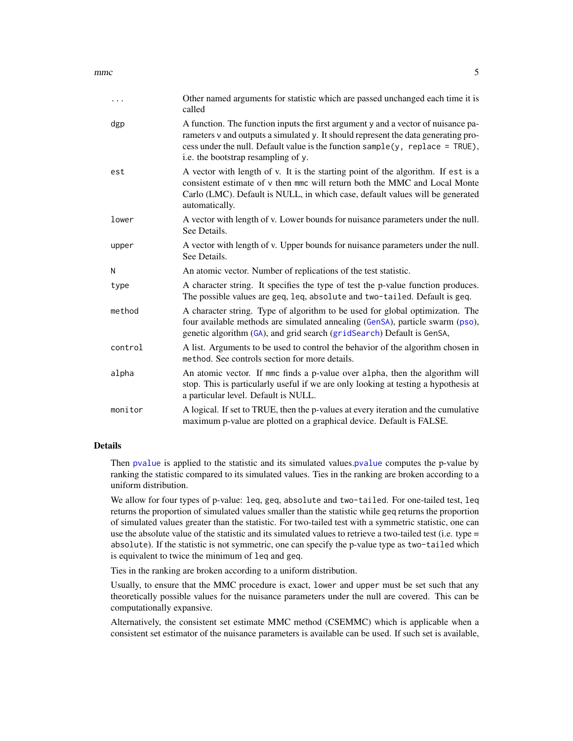<span id="page-4-0"></span> $m$ mmc 5

| .       | Other named arguments for statistic which are passed unchanged each time it is<br>called                                                                                                                                                                                                            |
|---------|-----------------------------------------------------------------------------------------------------------------------------------------------------------------------------------------------------------------------------------------------------------------------------------------------------|
| dgp     | A function. The function inputs the first argument y and a vector of nuisance pa-<br>rameters v and outputs a simulated y. It should represent the data generating pro-<br>cess under the null. Default value is the function sample( $y$ , replace = TRUE),<br>i.e. the bootstrap resampling of y. |
| est     | A vector with length of v. It is the starting point of the algorithm. If est is a<br>consistent estimate of v then mmc will return both the MMC and Local Monte<br>Carlo (LMC). Default is NULL, in which case, default values will be generated<br>automatically.                                  |
| lower   | A vector with length of v. Lower bounds for nuisance parameters under the null.<br>See Details.                                                                                                                                                                                                     |
| upper   | A vector with length of v. Upper bounds for nuisance parameters under the null.<br>See Details.                                                                                                                                                                                                     |
| N       | An atomic vector. Number of replications of the test statistic.                                                                                                                                                                                                                                     |
| type    | A character string. It specifies the type of test the p-value function produces.<br>The possible values are geq, leq, absolute and two-tailed. Default is geq.                                                                                                                                      |
| method  | A character string. Type of algorithm to be used for global optimization. The<br>four available methods are simulated annealing (GenSA), particle swarm (pso),<br>genetic algorithm (GA), and grid search (gridSearch) Default is GenSA,                                                            |
| control | A list. Arguments to be used to control the behavior of the algorithm chosen in<br>method. See controls section for more details.                                                                                                                                                                   |
| alpha   | An atomic vector. If mmc finds a p-value over alpha, then the algorithm will<br>stop. This is particularly useful if we are only looking at testing a hypothesis at<br>a particular level. Default is NULL.                                                                                         |
| monitor | A logical. If set to TRUE, then the p-values at every iteration and the cumulative<br>maximum p-value are plotted on a graphical device. Default is FALSE.                                                                                                                                          |

## Details

Then [pvalue](#page-13-1) is applied to the statistic and its simulated values.[pvalue](#page-13-1) computes the p-value by ranking the statistic compared to its simulated values. Ties in the ranking are broken according to a uniform distribution.

We allow for four types of p-value: leq, geq, absolute and two-tailed. For one-tailed test, leq returns the proportion of simulated values smaller than the statistic while geq returns the proportion of simulated values greater than the statistic. For two-tailed test with a symmetric statistic, one can use the absolute value of the statistic and its simulated values to retrieve a two-tailed test (i.e. type = absolute). If the statistic is not symmetric, one can specify the p-value type as two-tailed which is equivalent to twice the minimum of leq and geq.

Ties in the ranking are broken according to a uniform distribution.

Usually, to ensure that the MMC procedure is exact, lower and upper must be set such that any theoretically possible values for the nuisance parameters under the null are covered. This can be computationally expansive.

Alternatively, the consistent set estimate MMC method (CSEMMC) which is applicable when a consistent set estimator of the nuisance parameters is available can be used. If such set is available,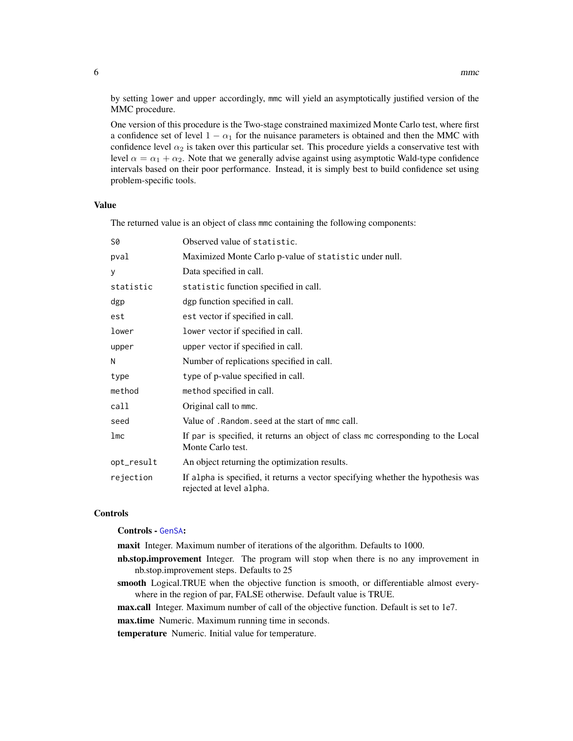<span id="page-5-0"></span>by setting lower and upper accordingly, mmc will yield an asymptotically justified version of the MMC procedure.

One version of this procedure is the Two-stage constrained maximized Monte Carlo test, where first a confidence set of level  $1 - \alpha_1$  for the nuisance parameters is obtained and then the MMC with confidence level  $\alpha_2$  is taken over this particular set. This procedure yields a conservative test with level  $\alpha = \alpha_1 + \alpha_2$ . Note that we generally advise against using asymptotic Wald-type confidence intervals based on their poor performance. Instead, it is simply best to build confidence set using problem-specific tools.

#### Value

The returned value is an object of class mmc containing the following components:

| S0         | Observed value of statistic.                                                                                 |
|------------|--------------------------------------------------------------------------------------------------------------|
| pval       | Maximized Monte Carlo p-value of statistic under null.                                                       |
| y          | Data specified in call.                                                                                      |
| statistic  | statistic function specified in call.                                                                        |
| dgp        | dgp function specified in call.                                                                              |
| est        | est vector if specified in call.                                                                             |
| lower      | lower vector if specified in call.                                                                           |
| upper      | upper vector if specified in call.                                                                           |
| N          | Number of replications specified in call.                                                                    |
| type       | type of p-value specified in call.                                                                           |
| method     | method specified in call.                                                                                    |
| call       | Original call to mmc.                                                                                        |
| seed       | Value of . Random, seed at the start of mmc call.                                                            |
| 1mc        | If par is specified, it returns an object of class mc corresponding to the Local<br>Monte Carlo test.        |
| opt_result | An object returning the optimization results.                                                                |
| rejection  | If alpha is specified, it returns a vector specifying whether the hypothesis was<br>rejected at level alpha. |

#### Controls

#### Controls - [GenSA](#page-0-0):

maxit Integer. Maximum number of iterations of the algorithm. Defaults to 1000.

- nb.stop.improvement Integer. The program will stop when there is no any improvement in nb.stop.improvement steps. Defaults to 25
- smooth Logical.TRUE when the objective function is smooth, or differentiable almost everywhere in the region of par, FALSE otherwise. Default value is TRUE.

max.call Integer. Maximum number of call of the objective function. Default is set to 1e7.

max.time Numeric. Maximum running time in seconds.

temperature Numeric. Initial value for temperature.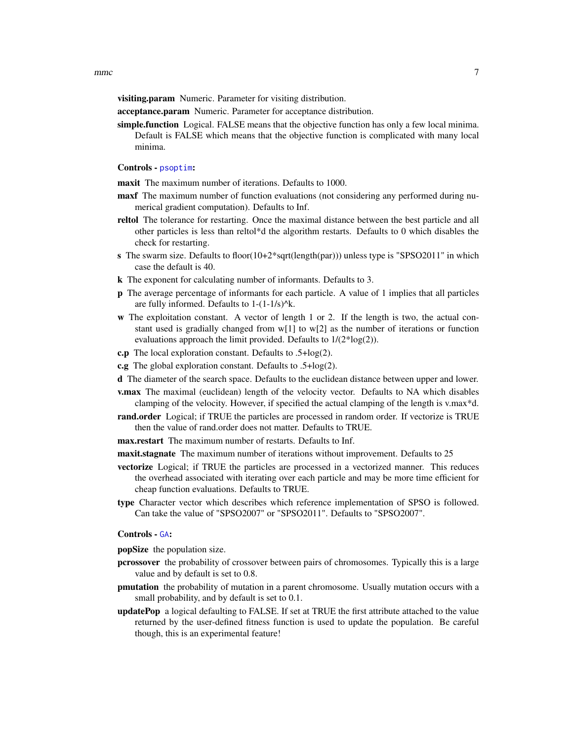<span id="page-6-0"></span>visiting.param Numeric. Parameter for visiting distribution.

acceptance.param Numeric. Parameter for acceptance distribution.

simple.function Logical. FALSE means that the objective function has only a few local minima. Default is FALSE which means that the objective function is complicated with many local minima.

#### Controls - [psoptim](#page-0-0):

maxit The maximum number of iterations. Defaults to 1000.

- maxf The maximum number of function evaluations (not considering any performed during numerical gradient computation). Defaults to Inf.
- reltol The tolerance for restarting. Once the maximal distance between the best particle and all other particles is less than reltol\*d the algorithm restarts. Defaults to 0 which disables the check for restarting.
- s The swarm size. Defaults to floor(10+2\*sqrt(length(par))) unless type is "SPSO2011" in which case the default is 40.
- k The exponent for calculating number of informants. Defaults to 3.
- p The average percentage of informants for each particle. A value of 1 implies that all particles are fully informed. Defaults to  $1-(1-1/s)^{k}$ .
- w The exploitation constant. A vector of length 1 or 2. If the length is two, the actual constant used is gradially changed from  $w[1]$  to  $w[2]$  as the number of iterations or function evaluations approach the limit provided. Defaults to 1/(2\*log(2)).
- c.p The local exploration constant. Defaults to .5+log(2).
- c.g The global exploration constant. Defaults to .5+log(2).
- d The diameter of the search space. Defaults to the euclidean distance between upper and lower.
- v.max The maximal (euclidean) length of the velocity vector. Defaults to NA which disables clamping of the velocity. However, if specified the actual clamping of the length is v.max\*d.
- rand.order Logical; if TRUE the particles are processed in random order. If vectorize is TRUE then the value of rand.order does not matter. Defaults to TRUE.
- max.restart The maximum number of restarts. Defaults to Inf.
- maxit.stagnate The maximum number of iterations without improvement. Defaults to 25
- vectorize Logical; if TRUE the particles are processed in a vectorized manner. This reduces the overhead associated with iterating over each particle and may be more time efficient for cheap function evaluations. Defaults to TRUE.
- type Character vector which describes which reference implementation of SPSO is followed. Can take the value of "SPSO2007" or "SPSO2011". Defaults to "SPSO2007".

#### Controls - [GA](#page-0-0):

popSize the population size.

- pcrossover the probability of crossover between pairs of chromosomes. Typically this is a large value and by default is set to 0.8.
- pmutation the probability of mutation in a parent chromosome. Usually mutation occurs with a small probability, and by default is set to 0.1.
- updatePop a logical defaulting to FALSE. If set at TRUE the first attribute attached to the value returned by the user-defined fitness function is used to update the population. Be careful though, this is an experimental feature!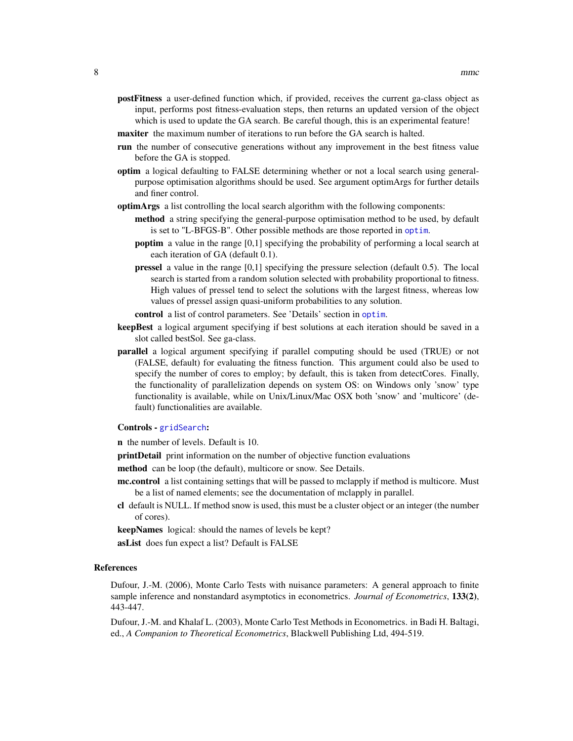- <span id="page-7-0"></span>postFitness a user-defined function which, if provided, receives the current ga-class object as input, performs post fitness-evaluation steps, then returns an updated version of the object which is used to update the GA search. Be careful though, this is an experimental feature!
- maxiter the maximum number of iterations to run before the GA search is halted.
- run the number of consecutive generations without any improvement in the best fitness value before the GA is stopped.
- optim a logical defaulting to FALSE determining whether or not a local search using generalpurpose optimisation algorithms should be used. See argument optimArgs for further details and finer control.
- optimArgs a list controlling the local search algorithm with the following components:
	- method a string specifying the general-purpose optimisation method to be used, by default is set to "L-BFGS-B". Other possible methods are those reported in [optim](#page-0-0).
	- poptim a value in the range [0,1] specifying the probability of performing a local search at each iteration of GA (default 0.1).
	- pressel a value in the range [0,1] specifying the pressure selection (default 0.5). The local search is started from a random solution selected with probability proportional to fitness. High values of pressel tend to select the solutions with the largest fitness, whereas low values of pressel assign quasi-uniform probabilities to any solution.
	- control a list of control parameters. See 'Details' section in [optim](#page-0-0).
- keepBest a logical argument specifying if best solutions at each iteration should be saved in a slot called bestSol. See ga-class.
- parallel a logical argument specifying if parallel computing should be used (TRUE) or not (FALSE, default) for evaluating the fitness function. This argument could also be used to specify the number of cores to employ; by default, this is taken from detectCores. Finally, the functionality of parallelization depends on system OS: on Windows only 'snow' type functionality is available, while on Unix/Linux/Mac OSX both 'snow' and 'multicore' (default) functionalities are available.

## Controls - [gridSearch](#page-0-0):

- n the number of levels. Default is 10.
- printDetail print information on the number of objective function evaluations
- method can be loop (the default), multicore or snow. See Details.
- mc.control a list containing settings that will be passed to mclapply if method is multicore. Must be a list of named elements; see the documentation of mclapply in parallel.
- cl default is NULL. If method snow is used, this must be a cluster object or an integer (the number of cores).
- keepNames logical: should the names of levels be kept?
- asList does fun expect a list? Default is FALSE

#### References

Dufour, J.-M. (2006), Monte Carlo Tests with nuisance parameters: A general approach to finite sample inference and nonstandard asymptotics in econometrics. *Journal of Econometrics*, 133(2), 443-447.

Dufour, J.-M. and Khalaf L. (2003), Monte Carlo Test Methods in Econometrics. in Badi H. Baltagi, ed., *A Companion to Theoretical Econometrics*, Blackwell Publishing Ltd, 494-519.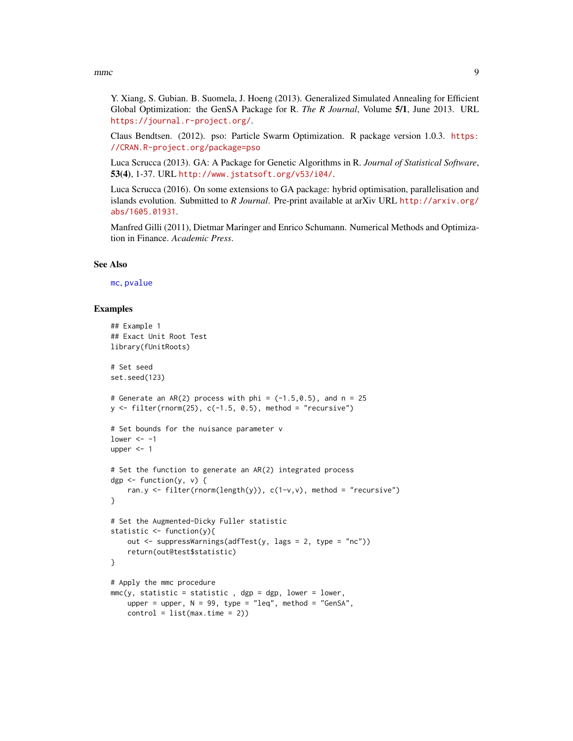#### <span id="page-8-0"></span>mmc 9

Y. Xiang, S. Gubian. B. Suomela, J. Hoeng (2013). Generalized Simulated Annealing for Efficient Global Optimization: the GenSA Package for R. *The R Journal*, Volume 5/1, June 2013. URL <https://journal.r-project.org/>.

Claus Bendtsen. (2012). pso: Particle Swarm Optimization. R package version 1.0.3. [https:](https://CRAN.R-project.org/package=pso) [//CRAN.R-project.org/package=pso](https://CRAN.R-project.org/package=pso)

Luca Scrucca (2013). GA: A Package for Genetic Algorithms in R. *Journal of Statistical Software*, 53(4), 1-37. URL <http://www.jstatsoft.org/v53/i04/>.

Luca Scrucca (2016). On some extensions to GA package: hybrid optimisation, parallelisation and islands evolution. Submitted to *R Journal*. Pre-print available at arXiv URL [http://arxiv.org/](http://arxiv.org/abs/1605.01931) [abs/1605.01931](http://arxiv.org/abs/1605.01931).

Manfred Gilli (2011), Dietmar Maringer and Enrico Schumann. Numerical Methods and Optimization in Finance. *Academic Press*.

#### See Also

[mc](#page-1-1), [pvalue](#page-13-1)

```
## Example 1
## Exact Unit Root Test
library(fUnitRoots)
# Set seed
set.seed(123)
# Generate an AR(2) process with phi = (-1.5, 0.5), and n = 25
y \le filter(rnorm(25), c(-1.5, 0.5), method = "recursive")
# Set bounds for the nuisance parameter v
lower <-1upper <-1# Set the function to generate an AR(2) integrated process
dgp \leq function(y, v) {
    ran.y <- filter(rnorm(length(y)), c(1-v,v), method = "recursive")
}
# Set the Augmented-Dicky Fuller statistic
statistic \leq function(y){
    out <- suppressWarnings(adfTest(y, lags = 2, type = "nc"))
    return(out@test$statistic)
}
# Apply the mmc procedure
mmc(y, statistic = statistic, dp = dgp, lower = lower,upper = upper, N = 99, type = "leq", method = "GenSA",
   control = list(max.time = 2)
```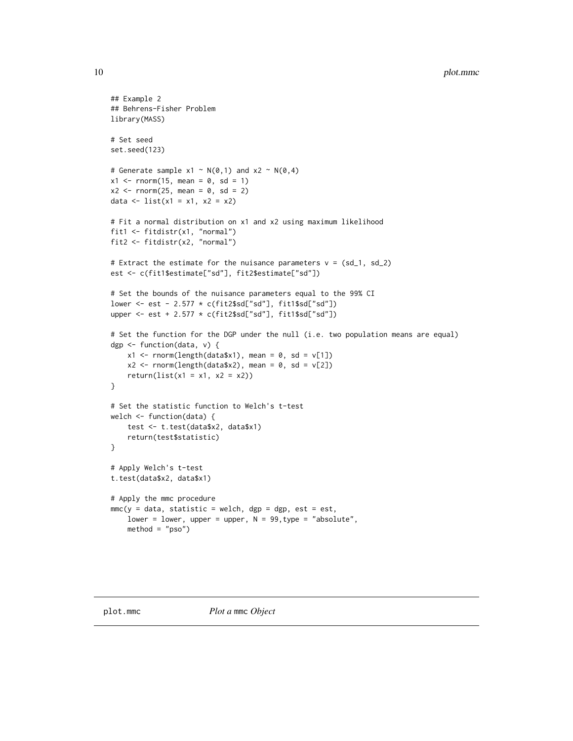```
## Example 2
## Behrens-Fisher Problem
library(MASS)
# Set seed
set.seed(123)
# Generate sample x1 \sim N(0,1) and x2 \sim N(0,4)x1 \le - rnorm(15, mean = 0, sd = 1)
x2 \le - rnorm(25, mean = 0, sd = 2)
data <- list(x1 = x1, x2 = x2)
# Fit a normal distribution on x1 and x2 using maximum likelihood
fit1 <- fitdistr(x1, "normal")
fit2 <- fitdistr(x2, "normal")
# Extract the estimate for the nuisance parameters v = (sd_1, sd_2)est <- c(fit1$estimate["sd"], fit2$estimate["sd"])
# Set the bounds of the nuisance parameters equal to the 99% CI
lower <- est - 2.577 * c(fit2$sd["sd"], fit1$sd["sd"])
upper <- est + 2.577 * c(fit2$sd["sd"], fit1$sd["sd"])
# Set the function for the DGP under the null (i.e. two population means are equal)
dgp <- function(data, v) {
    x1 \leftarrow \text{norm}(\text{length}(\text{data} x1), \text{ mean } = 0, \text{ sd } = v[1])x2 \le rnorm(length(data$x2), mean = 0, sd = v[2])
    return(list(x1 = x1, x2 = x2))
}
# Set the statistic function to Welch's t-test
welch <- function(data) {
    test <- t.test(data$x2, data$x1)
    return(test$statistic)
}
# Apply Welch's t-test
t.test(data$x2, data$x1)
# Apply the mmc procedure
mmc(y = data, statistic = Welch, dgp = dgp, est = est,lower = lower, upper = upper, N = 99, type = "absolute",
    method = "pso")
```
<span id="page-9-0"></span>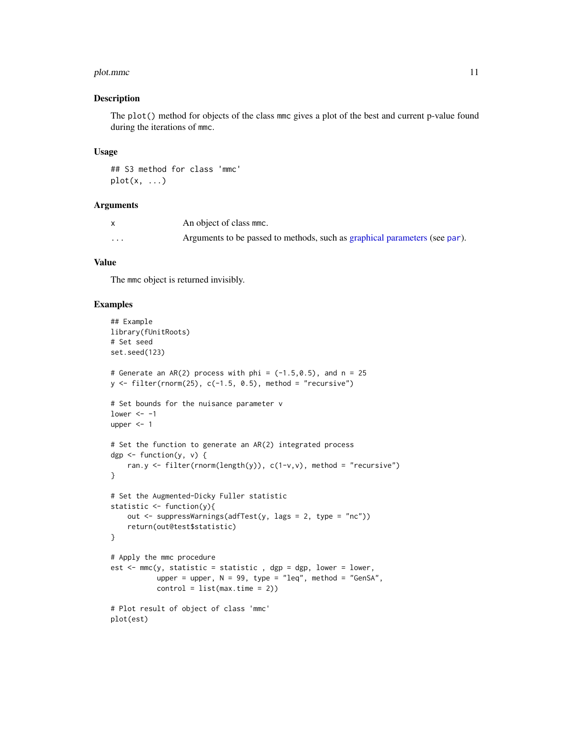#### <span id="page-10-0"></span>plot.mmc and 11

#### Description

The plot() method for objects of the class mmc gives a plot of the best and current p-value found during the iterations of mmc.

#### Usage

## S3 method for class 'mmc'  $plot(x, \ldots)$ 

## Arguments

|   | An object of class mmc.                                                    |
|---|----------------------------------------------------------------------------|
| . | Arguments to be passed to methods, such as graphical parameters (see par). |

## Value

The mmc object is returned invisibly.

```
## Example
library(fUnitRoots)
# Set seed
set.seed(123)
# Generate an AR(2) process with phi = (-1.5, 0.5), and n = 25
y \le fitter(rnorm(25), c(-1.5, 0.5), method = "recursive")# Set bounds for the nuisance parameter v
lower <-1upper <-1# Set the function to generate an AR(2) integrated process
dgp \leq function(y, v) {
   ran.y <- filter(rnorm(length(y)), c(1-v,v), method = "recursive")
}
# Set the Augmented-Dicky Fuller statistic
statistic <- function(y){
   out <- suppressWarnings(adfTest(y, lags = 2, type = "nc"))
    return(out@test$statistic)
}
# Apply the mmc procedure
est \leq mmc(y, statistic = statistic, dgp = dgp, lower = lower,
           upper = upper, N = 99, type = "leq", method = "GenSA",
           control = list(max.time = 2)# Plot result of object of class 'mmc'
plot(est)
```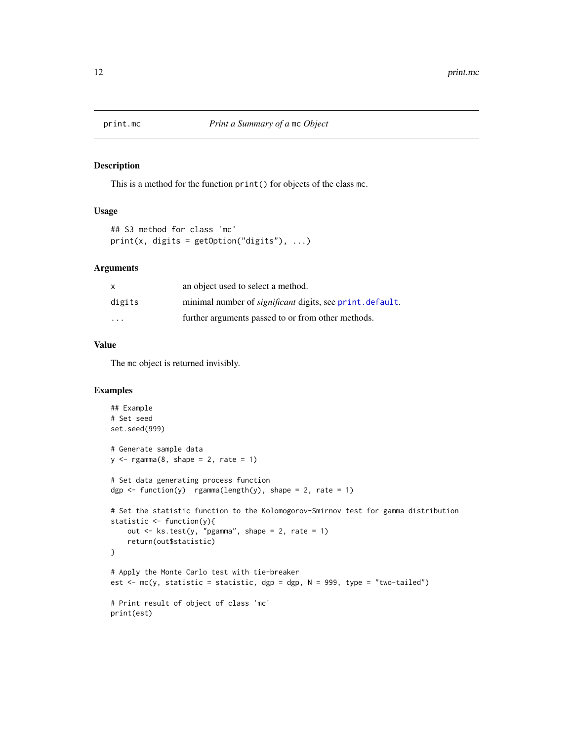<span id="page-11-0"></span>

#### Description

This is a method for the function print() for objects of the class mc.

## Usage

```
## S3 method for class 'mc'
print(x, digits = getOption("digits"), ...)
```
## Arguments

| X       | an object used to select a method.                               |
|---------|------------------------------------------------------------------|
| digits  | minimal number of <i>significant</i> digits, see print, default. |
| $\cdot$ | further arguments passed to or from other methods.               |

## Value

The mc object is returned invisibly.

```
## Example
# Set seed
set.seed(999)
# Generate sample data
y \leq - \text{rgamma}(8, \text{ shape} = 2, \text{ rate} = 1)# Set data generating process function
dgp \le function(y) rgamma(length(y), shape = 2, rate = 1)
# Set the statistic function to the Kolomogorov-Smirnov test for gamma distribution
statistic <- function(y){
    out <- ks.test(y, "pgamma", shape = 2, rate = 1)
    return(out$statistic)
}
# Apply the Monte Carlo test with tie-breaker
est \leq mc(y, statistic = statistic, dgp = dgp, N = 999, type = "two-tailed")
# Print result of object of class 'mc'
print(est)
```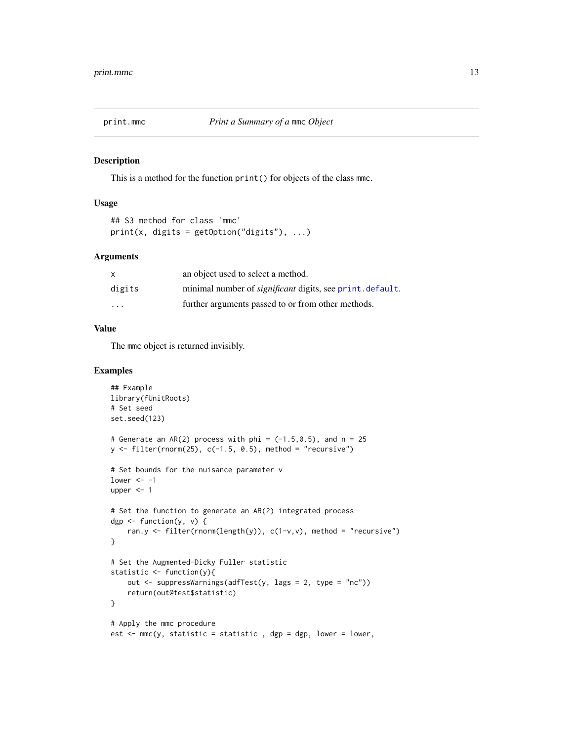<span id="page-12-0"></span>

#### Description

This is a method for the function print() for objects of the class mmc.

#### Usage

```
## S3 method for class 'mmc'
print(x, \text{ digits} = getOption("digits"), ...)
```
#### Arguments

| $\mathsf{x}$            | an object used to select a method.                              |
|-------------------------|-----------------------------------------------------------------|
| digits                  | minimal number of <i>significant</i> digits, see print.default. |
| $\cdot$ $\cdot$ $\cdot$ | further arguments passed to or from other methods.              |

## Value

The mmc object is returned invisibly.

```
## Example
library(fUnitRoots)
# Set seed
set.seed(123)
# Generate an AR(2) process with phi = (-1.5, 0.5), and n = 25
y \le filter(rnorm(25), c(-1.5, 0.5), method = "recursive")
# Set bounds for the nuisance parameter v
lower <-1upper <- 1
# Set the function to generate an AR(2) integrated process
dgp \leq function(y, v) {
    ran.y <- filter(rnorm(length(y)), c(1-v,v), method = "recursive")
}
# Set the Augmented-Dicky Fuller statistic
statistic <- function(y){
    out <- suppressWarnings(adfTest(y, lags = 2, type = "nc"))
    return(out@test$statistic)
}
# Apply the mmc procedure
est \leq mmc(y, statistic = statistic, dgp = dgp, lower = lower,
```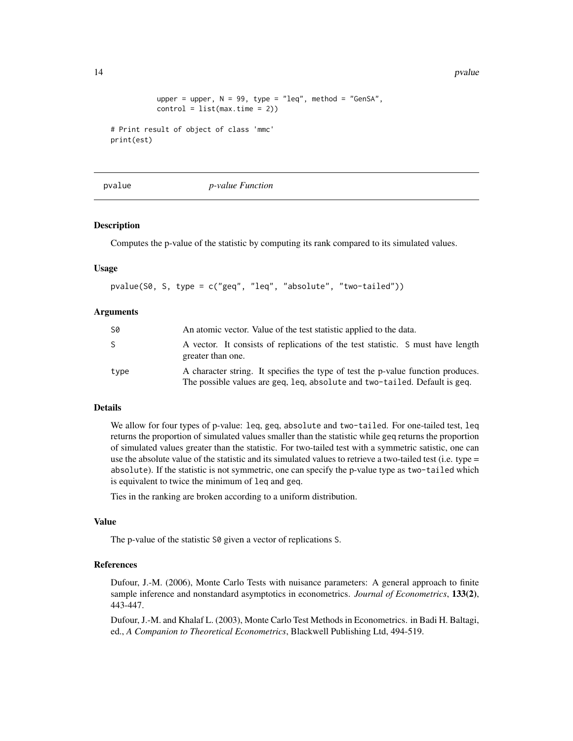```
upper = upper, N = 99, type = "leq", method = "GenSA",
           control = list(max.time = 2)# Print result of object of class 'mmc'
print(est)
```
<span id="page-13-1"></span>

pvalue *p-value Function*

## **Description**

Computes the p-value of the statistic by computing its rank compared to its simulated values.

#### Usage

pvalue(S0, S, type = c("geq", "leq", "absolute", "two-tailed"))

#### Arguments

| S0   | An atomic vector. Value of the test statistic applied to the data.                                                                                             |
|------|----------------------------------------------------------------------------------------------------------------------------------------------------------------|
| S.   | A vector. It consists of replications of the test statistic. S must have length<br>greater than one.                                                           |
| type | A character string. It specifies the type of test the p-value function produces.<br>The possible values are geg, leg, absolute and two-tailed. Default is geg. |

#### Details

We allow for four types of p-value: leq, geq, absolute and two-tailed. For one-tailed test, leq returns the proportion of simulated values smaller than the statistic while geq returns the proportion of simulated values greater than the statistic. For two-tailed test with a symmetric satistic, one can use the absolute value of the statistic and its simulated values to retrieve a two-tailed test (i.e. type = absolute). If the statistic is not symmetric, one can specify the p-value type as two-tailed which is equivalent to twice the minimum of leq and geq.

Ties in the ranking are broken according to a uniform distribution.

#### Value

The p-value of the statistic  $\delta\varnothing$  given a vector of replications S.

#### References

Dufour, J.-M. (2006), Monte Carlo Tests with nuisance parameters: A general approach to finite sample inference and nonstandard asymptotics in econometrics. *Journal of Econometrics*, 133(2), 443-447.

Dufour, J.-M. and Khalaf L. (2003), Monte Carlo Test Methods in Econometrics. in Badi H. Baltagi, ed., *A Companion to Theoretical Econometrics*, Blackwell Publishing Ltd, 494-519.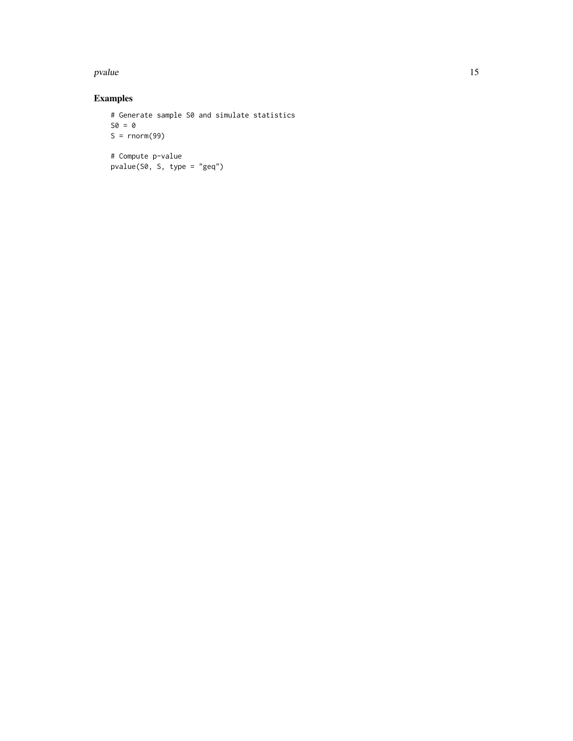#### pvalue that the contract of the contract of the contract of the contract of the contract of the contract of the contract of the contract of the contract of the contract of the contract of the contract of the contract of th

```
# Generate sample S0 and simulate statistics
SO = 0S = rnorm(99)# Compute p-value
pvalue(S0, S, type = "geq")
```